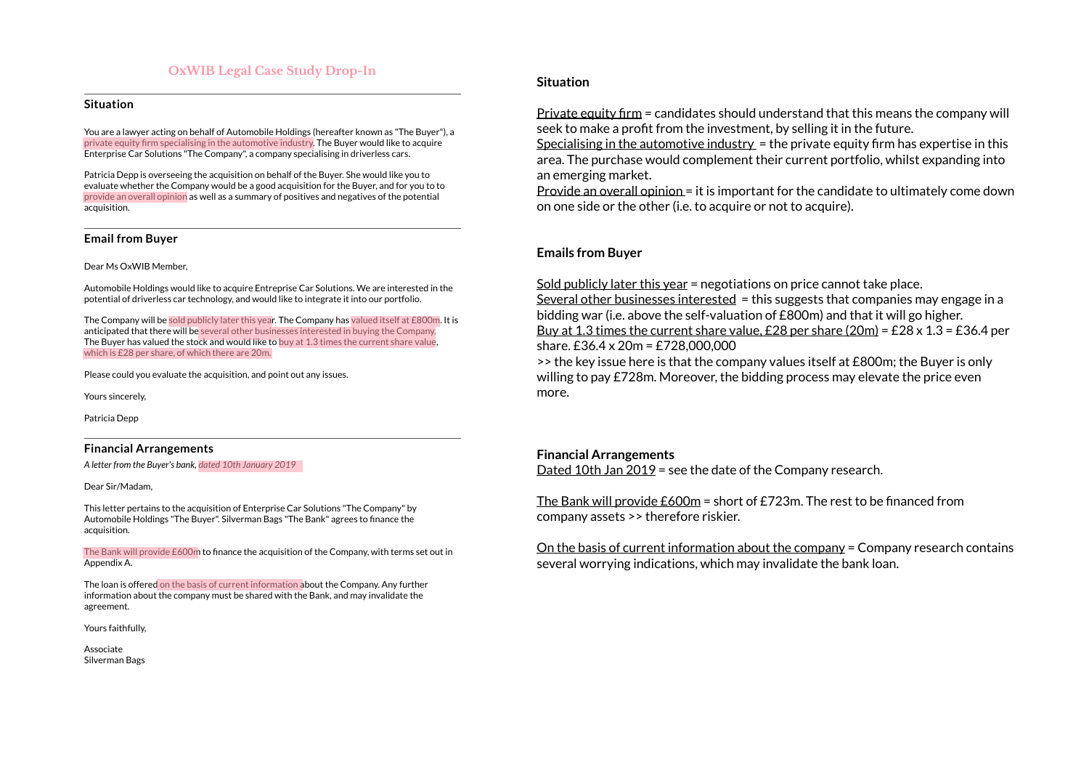# **OxWIB Legal Case Study Drop-In**

### **Situation**

You are a lawyer acting on behalf of Automobile Holdings (hereafter known as "The Buyer"), a private equity firm specialising in the automotive industry. The Buyer would like to acquire Enterprise Car Solutions "The Company", a company specialising in driverless cars.

Patricia Depp is overseeing the acquisition on behalf of the Buyer. She would like you to evaluate whether the Company would be a good acquisition for the Buyer, and for you to to provide an overall opinion as well as a summary of positives and negatives of the potential acquisition.

### **Email from Buyer**

Dear Ms OxWIB Member,

Automobile Holdings would like to acquire Entreprise Car Solutions. We are interested in the potential of driverless car technology, and would like to integrate it into our portfolio.

The Company will be sold publicly later this year. The Company has valued itself at £800m. It is anticipated that there will be several other businesses interested in buying the Company. The Buyer has valued the stock and would like to buy at 1.3 times the current share value, which is £28 per share, of which there are 20m.

Please could you evaluate the acquisition, and point out any issues.

Yours sincerely,

Patricia Depp

#### **Financial Arrangements**

*A letter from the Buyer's bank, dated 10th January 2019* 

Dear Sir/Madam,

This letter pertains to the acquisition of Enterprise Car Solutions "The Company" by Automobile Holdings "The Buyer". Silverman Bags "The Bank" agrees to finance the acquisition.

The Bank will provide £600m to finance the acquisition of the Company, with terms set out in Appendix A.

The loan is offered on the basis of current information about the Company. Any further information about the company must be shared with the Bank, and may invalidate the agreement.

Yours faithfully,

Associate Silverman Bags

# **Situation**

Private equity firm = candidates should understand that this means the company will seek to make a profit from the investment, by selling it in the future.

Specialising in the automotive industry = the private equity firm has expertise in this area. The purchase would complement their current portfolio, whilst expanding into an emerging market.

Provide an overall opinion = it is important for the candidate to ultimately come down on one side or the other (i.e. to acquire or not to acquire).

# **Emails from Buyer**

Sold publicly later this year = negotiations on price cannot take place. Several other businesses interested = this suggests that companies may engage in a bidding war (i.e. above the self-valuation of £800m) and that it will go higher. Buy at 1.3 times the current share value,  $£28$  per share  $(20m)$  =  $£28 \times 1.3$  =  $£36.4$  per share. £36.4 x 20m = £728,000,000

>> the key issue here is that the company values itself at £800m; the Buyer is only willing to pay £728m. Moreover, the bidding process may elevate the price even more.

## **Financial Arrangements**

Dated 10th Jan 2019 = see the date of the Company research.

The Bank will provide £600m = short of £723m. The rest to be financed from company assets >> therefore riskier.

On the basis of current information about the company = Company research contains several worrying indications, which may invalidate the bank loan.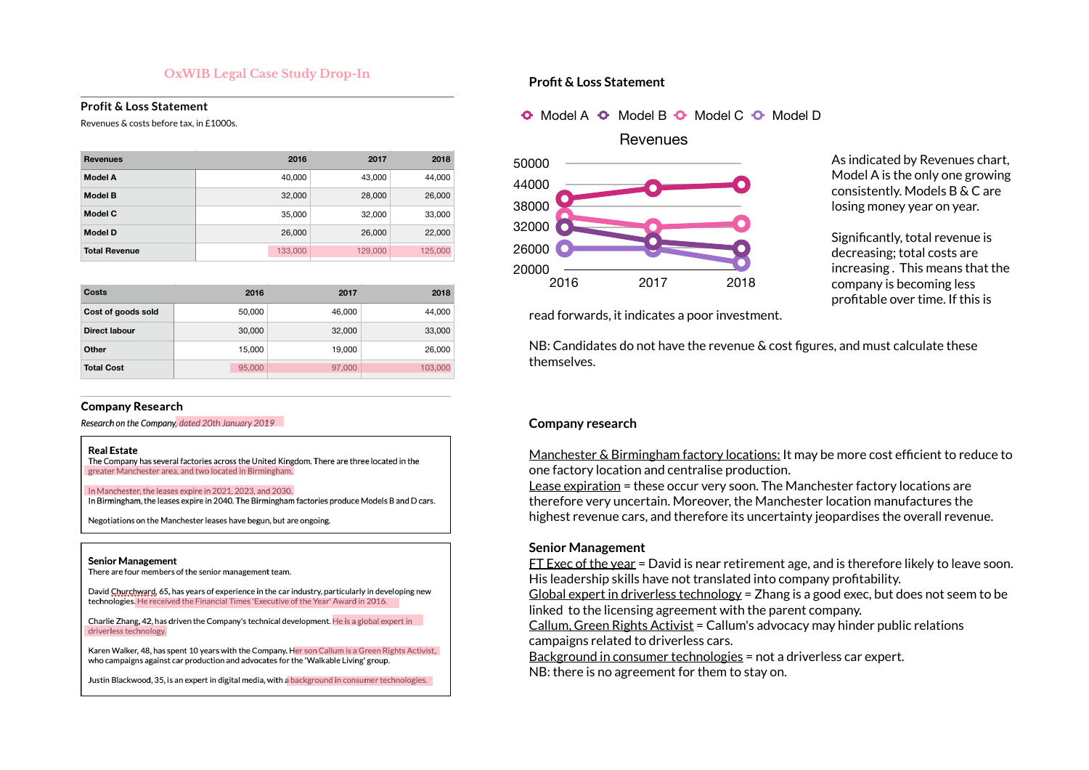## **OxWIB Legal Case Study Drop-In**

# **Profit & Loss Statement**

### **Profit & Loss Statement**

Revenues & costs before tax, in £1000s.

| <b>Revenues</b>      | 2016    | 2017    | 2018    |
|----------------------|---------|---------|---------|
| <b>Model A</b>       | 40,000  | 43,000  | 44,000  |
| <b>Model B</b>       | 32,000  | 28,000  | 26,000  |
| Model C              | 35,000  | 32,000  | 33,000  |
| <b>Model D</b>       | 26,000  | 26,000  | 22,000  |
| <b>Total Revenue</b> | 133,000 | 129,000 | 125,000 |

| Costs                | 2016   | 2017   | 2018    |
|----------------------|--------|--------|---------|
| Cost of goods sold   | 50,000 | 46,000 | 44,000  |
| <b>Direct labour</b> | 30,000 | 32,000 | 33,000  |
| Other                | 15.000 | 19,000 | 26,000  |
| <b>Total Cost</b>    | 95,000 | 97,000 | 103,000 |

### **Company Research**

*Research on the Company, dated 20th January 2019*

#### **Real Estate**

The Company has several factories across the United Kingdom. There are three located in the greater Manchester area, and two located in Birmingham.

In Manchester, the leases expire in 2021, 2023, and 2030. In Birmingham, the leases expire in 2040. The Birmingham factories produce Models B and D cars.

## Negotiations on the Manchester leases have begun, but are ongoing.

#### **Senior Management**

There are four members of the senior management team.

David Churchward, 65, has years of experience in the car industry, particularly in developing new technologies. He received the Financial Times 'Executive of the Year' Award in 2016.

Charlie Zhang, 42, has driven the Company's technical development. He is a global expert in driverless technology.

Karen Walker, 48, has spent 10 years with the Company. Her son Callum is a Green Rights Activist, who campaigns against car production and advocates for the 'Walkable Living' group.

Justin Blackwood, 35, is an expert in digital media, with a background in consumer technologies.

**O** Model A **O** Model B **O** Model C **O** Model D



As indicated by Revenues chart, Model A is the only one growing consistently. Models B & C are losing money year on year.

Significantly, total revenue is decreasing; total costs are increasing . This means that the company is becoming less profitable over time. If this is

read forwards, it indicates a poor investment.

NB: Candidates do not have the revenue & cost figures, and must calculate these themselves.

### **Company research**

Manchester & Birmingham factory locations: It may be more cost efficient to reduce to one factory location and centralise production.

Lease expiration = these occur very soon. The Manchester factory locations are therefore very uncertain. Moreover, the Manchester location manufactures the highest revenue cars, and therefore its uncertainty jeopardises the overall revenue.

## **Senior Management**

FT Exec of the year = David is near retirement age, and is therefore likely to leave soon. His leadership skills have not translated into company profitability.

Global expert in driverless technology = Zhang is a good exec, but does not seem to be linked to the licensing agreement with the parent company.

Callum, Green Rights Activist = Callum's advocacy may hinder public relations campaigns related to driverless cars.

Background in consumer technologies = not a driverless car expert. NB: there is no agreement for them to stay on.